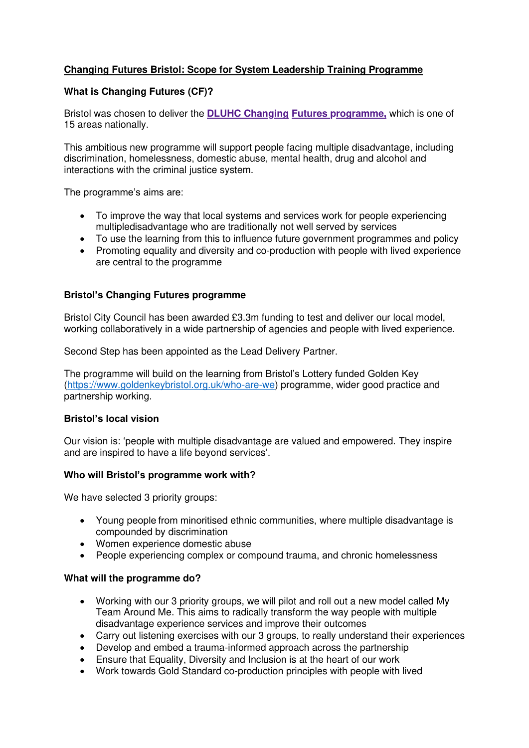# **Changing Futures Bristol: Scope for System Leadership Training Programme**

## **What is Changing Futures (CF)?**

Bristol was chosen to deliver the **[DLUHC Changing Futures programme,](https://www.gov.uk/government/collections/changing-futures)** which is one of [15 areas nationally.](https://www.gov.uk/government/collections/changing-futures) 

This ambitious new programme will support people facing multiple disadvantage, including discrimination, homelessness, domestic abuse, mental health, drug and alcohol and interactions with the criminal justice system.

The programme's aims are:

- To improve the way that local systems and services work for people experiencing multipledisadvantage who are traditionally not well served by services
- To use the learning from this to influence future government programmes and policy
- Promoting equality and diversity and co-production with people with lived experience are central to the programme

### **Bristol's Changing Futures programme**

Bristol City Council has been awarded £3.3m funding to test and deliver our local model, working collaboratively in a wide partnership of agencies and people with lived experience.

Second Step has been appointed as the Lead Delivery Partner.

The programme will build on the learning from Bristol's Lottery funded Golden Key [\(https://www.goldenkeybristol.org.uk/who-are-we\)](https://www.goldenkeybristol.org.uk/who-are-we) programme, wider good practice and partnership working.

### **Bristol's local vision**

Our vision is: 'people with multiple disadvantage are valued and empowered. They inspire and are inspired to have a life beyond services'.

### **Who will Bristol's programme work with?**

We have selected 3 priority groups:

- Young people from minoritised ethnic communities, where multiple disadvantage is compounded by discrimination
- Women experience domestic abuse
- People experiencing complex or compound trauma, and chronic homelessness

### **What will the programme do?**

- Working with our 3 priority groups, we will pilot and roll out a new model called My Team Around Me. This aims to radically transform the way people with multiple disadvantage experience services and improve their outcomes
- Carry out listening exercises with our 3 groups, to really understand their experiences
- Develop and embed a trauma-informed approach across the partnership
- Ensure that Equality, Diversity and Inclusion is at the heart of our work
- Work towards Gold Standard co-production principles with people with lived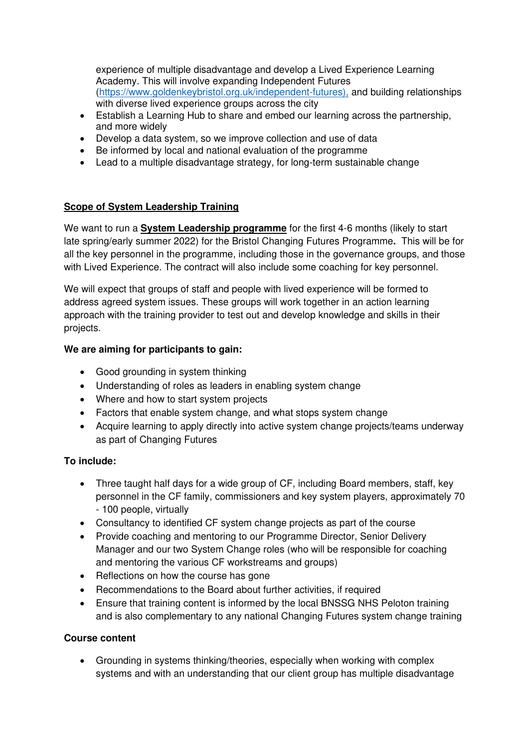experience of multiple disadvantage and develop a Lived Experience Learning Academy. This will involve expanding Independent Futures [\(https://www.goldenkeybristol.org.uk/independent-futures\),](https://www.goldenkeybristol.org.uk/independent-futures),) and building relationships with diverse lived experience groups across the city

- Establish a Learning Hub to share and embed our learning across the partnership, and more widely
- Develop a data system, so we improve collection and use of data
- Be informed by local and national evaluation of the programme
- Lead to a multiple disadvantage strategy, for long-term sustainable change

# **Scope of System Leadership Training**

We want to run a **System Leadership programme** for the first 4-6 months (likely to start late spring/early summer 2022) for the Bristol Changing Futures Programme**.** This will be for all the key personnel in the programme, including those in the governance groups, and those with Lived Experience. The contract will also include some coaching for key personnel.

We will expect that groups of staff and people with lived experience will be formed to address agreed system issues. These groups will work together in an action learning approach with the training provider to test out and develop knowledge and skills in their projects.

# **We are aiming for participants to gain:**

- Good grounding in system thinking
- Understanding of roles as leaders in enabling system change
- Where and how to start system projects
- Factors that enable system change, and what stops system change
- Acquire learning to apply directly into active system change projects/teams underway as part of Changing Futures

# **To include:**

- Three taught half days for a wide group of CF, including Board members, staff, key personnel in the CF family, commissioners and key system players, approximately 70 - 100 people, virtually
- Consultancy to identified CF system change projects as part of the course
- Provide coaching and mentoring to our Programme Director, Senior Delivery Manager and our two System Change roles (who will be responsible for coaching and mentoring the various CF workstreams and groups)
- Reflections on how the course has gone
- Recommendations to the Board about further activities, if required
- Ensure that training content is informed by the local BNSSG NHS Peloton training and is also complementary to any national Changing Futures system change training

# **Course content**

• Grounding in systems thinking/theories, especially when working with complex systems and with an understanding that our client group has multiple disadvantage